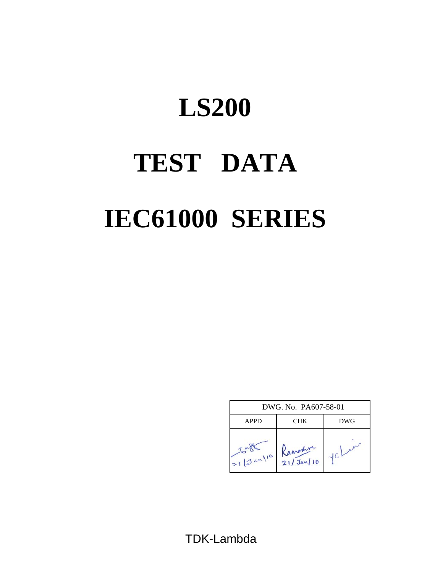# **TEST DATA IEC61000 SERIES LS200**

| DWG, No. PA607-58-01 |                      |            |  |  |  |  |
|----------------------|----------------------|------------|--|--|--|--|
| <b>APPD</b>          | CHK                  | <b>DWG</b> |  |  |  |  |
| $21/3$ cm/10         | Ramedia<br>21/Jan/10 |            |  |  |  |  |

TDK-Lambda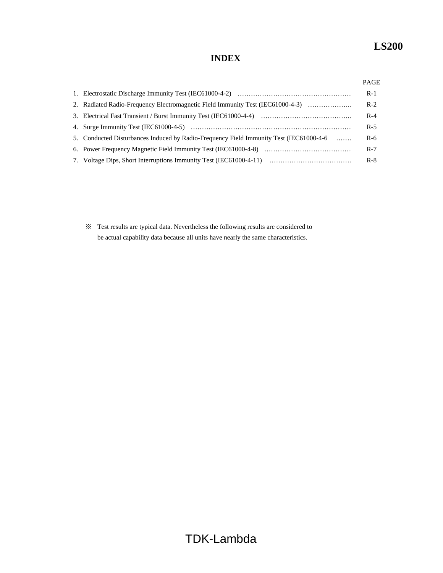# **INDEX**

|                                                                                        | $R-1$ |
|----------------------------------------------------------------------------------------|-------|
| 2. Radiated Radio-Frequency Electromagnetic Field Immunity Test (IEC61000-4-3)         | $R-2$ |
|                                                                                        | $R-4$ |
|                                                                                        | $R-5$ |
| 5. Conducted Disturbances Induced by Radio-Frequency Field Immunity Test (IEC61000-4-6 | $R-6$ |
|                                                                                        | $R-7$ |
|                                                                                        | $R-8$ |

※ Test results are typical data. Nevertheless the following results are considered to be actual capability data because all units have nearly the same characteristics.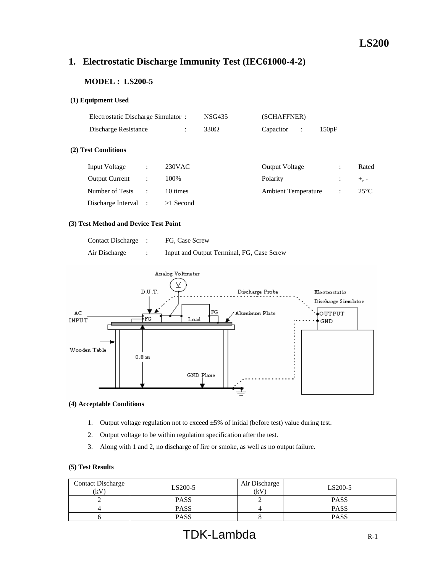# **1. Electrostatic Discharge Immunity Test (IEC61000-4-2)**

# **MODEL : LS200-5**

# **(1) Equipment Used**

| Electrostatic Discharge Simulator: |  |                      | <b>NSG435</b>                                | (SCHAFFNER) |                |                       |                            |                |
|------------------------------------|--|----------------------|----------------------------------------------|-------------|----------------|-----------------------|----------------------------|----------------|
| Discharge Resistance               |  | $\ddot{\phantom{a}}$ | $330\Omega$                                  | Capacitor   | $\ddot{\cdot}$ |                       |                            |                |
| (2) Test Conditions                |  |                      |                                              |             |                |                       |                            |                |
| Input Voltage<br>÷                 |  |                      |                                              |             |                |                       | ÷                          | Rated          |
| <b>Output Current</b><br>÷         |  |                      |                                              | Polarity    |                |                       |                            | $+$ , -        |
| Number of Tests<br>÷               |  |                      |                                              |             |                |                       | ٠                          | $25^{\circ}$ C |
| Discharge Interval :               |  |                      |                                              |             |                |                       |                            |                |
|                                    |  |                      | $230$ VAC<br>100%<br>10 times<br>$>1$ Second |             |                | <b>Output Voltage</b> | <b>Ambient Temperature</b> | 150pF          |

#### **(3) Test Method and Device Test Point**

| <b>Contact Discharge</b> | FG, Case Screw                            |
|--------------------------|-------------------------------------------|
| Air Discharge            | Input and Output Terminal, FG, Case Screw |



#### **(4) Acceptable Conditions**

- 1. Output voltage regulation not to exceed ±5% of initial (before test) value during test.
- 2. Output voltage to be within regulation specification after the test.
- 3. Along with 1 and 2, no discharge of fire or smoke, as well as no output failure.

| <b>Contact Discharge</b><br>(kV) | LS200-5     | Air Discharge<br>(kV) | LS200-5     |
|----------------------------------|-------------|-----------------------|-------------|
|                                  | <b>PASS</b> |                       | <b>PASS</b> |
|                                  | <b>PASS</b> |                       | <b>PASS</b> |
|                                  | <b>PASS</b> |                       | <b>PASS</b> |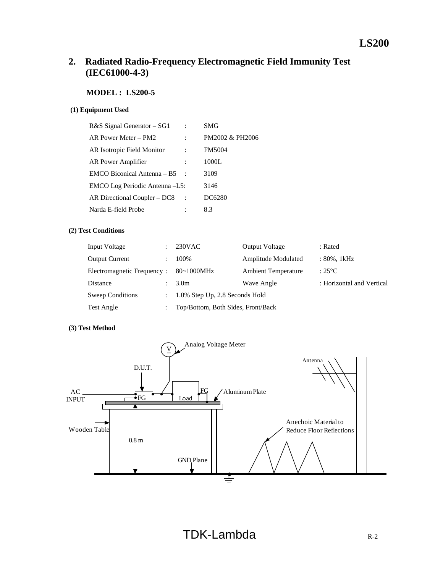# **2. Radiated Radio-Frequency Electromagnetic Field Immunity Test (IEC61000-4-3)**

# **MODEL : LS200-5**

## **(1) Equipment Used**

| R&S Signal Generator – SG1     | <b>SMG</b>      |
|--------------------------------|-----------------|
| AR Power Meter – PM2           | PM2002 & PH2006 |
| AR Isotropic Field Monitor     | <b>FM5004</b>   |
| AR Power Amplifier             | 1000L           |
| EMCO Biconical Antenna – B5    | 3109            |
| EMCO Log Periodic Antenna -L5: | 3146            |
| AR Directional Coupler – DC8   | DC6280          |
| Narda E-field Probe            | 8.3             |
|                                |                 |

## **(2) Test Conditions**

| Input Voltage              |               | $230$ VAC                          | <b>Output Voltage</b>      | : Rated                   |
|----------------------------|---------------|------------------------------------|----------------------------|---------------------------|
| <b>Output Current</b>      |               | 100%                               | Amplitude Modulated        | : 80%, 1kHz               |
| Electromagnetic Frequency: |               | $80~1000$ MHz                      | <b>Ambient Temperature</b> | : $25^{\circ}$ C          |
| <b>Distance</b>            |               | 3.0 <sub>m</sub>                   | Wave Angle                 | : Horizontal and Vertical |
| <b>Sweep Conditions</b>    | $\mathcal{L}$ | 1.0% Step Up, 2.8 Seconds Hold     |                            |                           |
| Test Angle                 |               | Top/Bottom, Both Sides, Front/Back |                            |                           |

## **(3) Test Method**

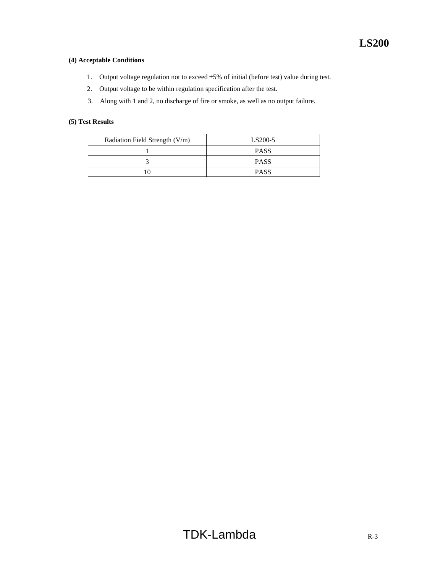# **(4) Acceptable Conditions**

- 1. Output voltage regulation not to exceed ±5% of initial (before test) value during test.
- 2. Output voltage to be within regulation specification after the test.
- 3. Along with 1 and 2, no discharge of fire or smoke, as well as no output failure.

| Radiation Field Strength (V/m) | LS200-5     |
|--------------------------------|-------------|
|                                | <b>PASS</b> |
|                                | <b>PASS</b> |
|                                | <b>PASS</b> |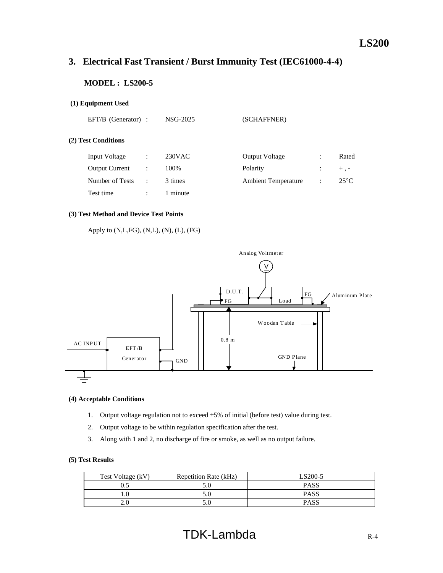# **3. Electrical Fast Transient / Burst Immunity Test (IEC61000-4-4)**

# **MODEL : LS200-5**

# **(1) Equipment Used**

| EFT/B (Generator) | NSG-2025 |
|-------------------|----------|
|                   |          |

(SCHAFFNER)

## **(2) Test Conditions**

| Input Voltage         | 230 <sub>V</sub> AC | <b>Output Voltage</b>      |                      | Rated          |
|-----------------------|---------------------|----------------------------|----------------------|----------------|
| <b>Output Current</b> | 100%                | Polarity                   |                      | $+$ . -        |
| Number of Tests       | 3 times             | <b>Ambient Temperature</b> | $\ddot{\phantom{1}}$ | $25^{\circ}$ C |
| Test time             | 1 minute            |                            |                      |                |

## **(3) Test Method and Device Test Points**

Apply to (N,L,FG), (N,L), (N), (L), (FG)



#### **(4) Acceptable Conditions**

- 1. Output voltage regulation not to exceed ±5% of initial (before test) value during test.
- 2. Output voltage to be within regulation specification after the test.
- 3. Along with 1 and 2, no discharge of fire or smoke, as well as no output failure.

| Test Voltage (kV) | Repetition Rate (kHz) | S200-5_ |
|-------------------|-----------------------|---------|
| U.J               |                       | PASS    |
|                   | J.U                   | PASS    |
| 2.0               |                       | PASS    |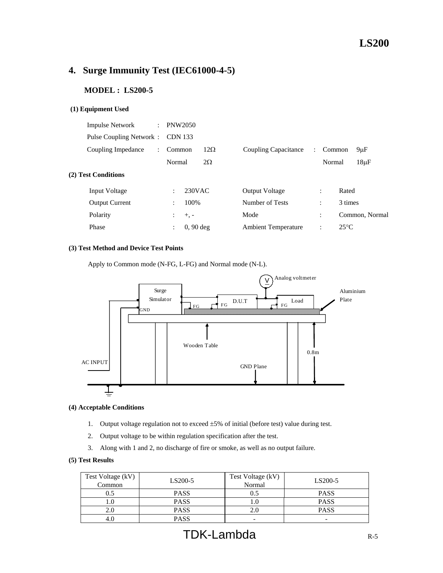# **4. Surge Immunity Test (IEC61000-4-5)**

# **MODEL : LS200-5**

#### **(1) Equipment Used**

| <b>Impulse Network</b>  | $\ddot{\phantom{a}}$ | <b>PNW2050</b>                 |            |                            |                      |                      |                |
|-------------------------|----------------------|--------------------------------|------------|----------------------------|----------------------|----------------------|----------------|
| Pulse Coupling Network: |                      | <b>CDN</b> 133                 |            |                            |                      |                      |                |
| Coupling Impedance      | $\ddot{\phantom{0}}$ | Common                         | $12\Omega$ | Coupling Capacitance       | $\ddot{\phantom{0}}$ | Common               | $9\mu F$       |
|                         |                      | Normal                         | $2\Omega$  |                            |                      | Normal               | $18\mu F$      |
| (2) Test Conditions     |                      |                                |            |                            |                      |                      |                |
| <b>Input Voltage</b>    |                      | 230VAC<br>$\ddot{\phantom{a}}$ |            | <b>Output Voltage</b>      |                      | $\ddot{\phantom{a}}$ | Rated          |
| <b>Output Current</b>   |                      | 100\%<br>$\ddot{\phantom{0}}$  |            | Number of Tests            |                      | $\ddot{\cdot}$       | 3 times        |
| Polarity                |                      | $+$ , $-$<br>$\mathbb{R}^n$    |            | Mode                       |                      | $\ddot{\cdot}$       | Common, Normal |
| Phase                   |                      | $0, 90$ deg<br>$\ddot{\cdot}$  |            | <b>Ambient Temperature</b> |                      | ÷                    | $25^{\circ}$ C |
|                         |                      |                                |            |                            |                      |                      |                |

## **(3) Test Method and Device Test Points**

Apply to Common mode (N-FG, L-FG) and Normal mode (N-L).



#### **(4) Acceptable Conditions**

- 1. Output voltage regulation not to exceed ±5% of initial (before test) value during test.
- 2. Output voltage to be within regulation specification after the test.
- 3. Along with 1 and 2, no discharge of fire or smoke, as well as no output failure.

| Test Voltage (kV)<br>Common | LS200-5     | Test Voltage (kV)<br>Normal | LS200-5     |
|-----------------------------|-------------|-----------------------------|-------------|
| 0.5                         | <b>PASS</b> |                             | <b>PASS</b> |
|                             | <b>PASS</b> |                             | <b>PASS</b> |
| 2.0                         | <b>PASS</b> |                             | <b>PASS</b> |
|                             | <b>PASS</b> | -                           | -           |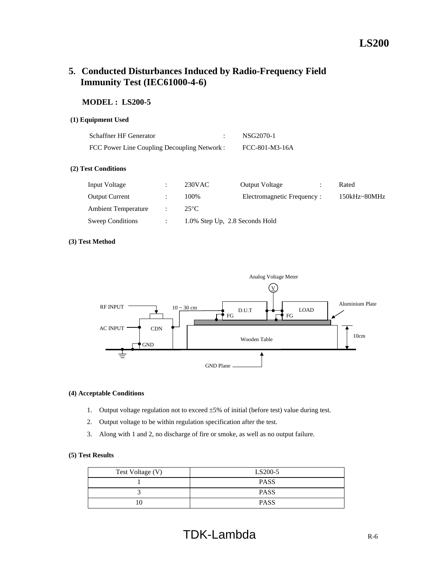# **5. Conducted Disturbances Induced by Radio-Frequency Field Immunity Test (IEC61000-4-6)**

# **MODEL : LS200-5**

## **(1) Equipment Used**

| Schaffner HF Generator                       | NSG2070-1      |
|----------------------------------------------|----------------|
| FCC Power Line Coupling Decoupling Network : | FCC-801-M3-16A |

#### **(2) Test Conditions**

| Input Voltage              | 230VAC                         | <b>Output Voltage</b>       | Rated            |
|----------------------------|--------------------------------|-----------------------------|------------------|
| <b>Output Current</b>      | 100\%                          | Electromagnetic Frequency : | $150kHz - 80MHz$ |
| <b>Ambient Temperature</b> | $25^{\circ}$ C                 |                             |                  |
| <b>Sweep Conditions</b>    | 1.0% Step Up, 2.8 Seconds Hold |                             |                  |

#### **(3) Test Method**



#### **(4) Acceptable Conditions**

- 1. Output voltage regulation not to exceed ±5% of initial (before test) value during test.
- 2. Output voltage to be within regulation specification after the test.
- 3. Along with 1 and 2, no discharge of fire or smoke, as well as no output failure.

| Test Voltage (V) | LS200-5     |
|------------------|-------------|
|                  | <b>PASS</b> |
|                  | <b>PASS</b> |
|                  | <b>PASS</b> |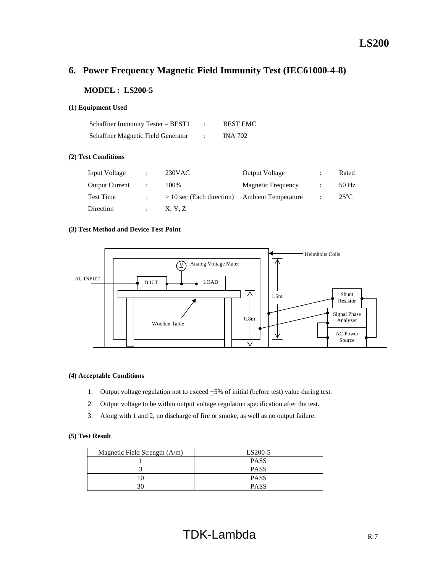# **6. Power Frequency Magnetic Field Immunity Test (IEC61000-4-8)**

# **MODEL : LS200-5**

#### **(1) Equipment Used**

| Schaffner Immunity Tester – BEST1  | <b>BEST EMC</b> |
|------------------------------------|-----------------|
| Schaffner Magnetic Field Generator | <b>INA 702</b>  |

## **(2) Test Conditions**

| Input Voltage         | $230$ VAC                   | <b>Output Voltage</b>      | Rated         |
|-----------------------|-----------------------------|----------------------------|---------------|
| <b>Output Current</b> | 100%                        | Magnetic Frequency         | 50 Hz         |
| <b>Test Time</b>      | $> 10$ sec (Each direction) | <b>Ambient Temperature</b> | $25^{\circ}C$ |
| Direction             | X, Y, Z                     |                            |               |

## **(3) Test Method and Device Test Point**



#### **(4) Acceptable Conditions**

- 1. Output voltage regulation not to exceed  $\pm 5\%$  of initial (before test) value during test.
- 2. Output voltage to be within output voltage regulation specification after the test.
- 3. Along with 1 and 2, no discharge of fire or smoke, as well as no output failure.

| Magnetic Field Strength $(A/m)$ | LS200-5     |
|---------------------------------|-------------|
|                                 | <b>PASS</b> |
|                                 | <b>PASS</b> |
|                                 | <b>PASS</b> |
| 30                              | <b>PASS</b> |